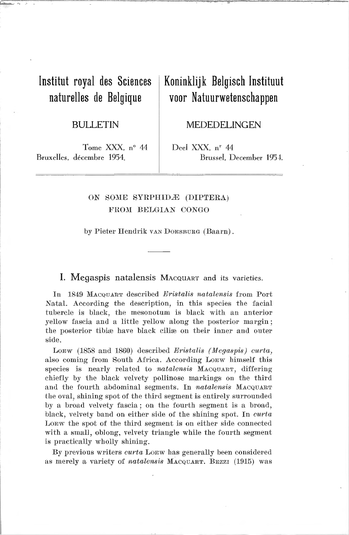Tome XXX, n° 44 Bruxelles, décembre 1954.

# Institut royal des Sciences | Koninklijk Belgisch Instituut naturelles de Belgique voor Natuurwetenschappen

# BULLETIN MEDEDELINGEN

Deel XXX, n<sup>r</sup> 44 Brussel, December 1951.

# ON SOME SYRPHIDÆ (DIPTERA) FROM BELGIAN CONGO

by Pieter Hendrik van Doesburg (Baarn).

# I. Megaspis natalensis Macquart and its varieties.

In <sup>1849</sup> Macquart described Eristalis natalensis from Port Natal. According the description, in this species the facial tubercle is black, the mesonotum is black with an anterior yellow fascia and <sup>a</sup> little yellow along the posterior margin ; the posterior tibiae have black ciliae on their inner and outer side.

LOEW (1858 and 1860) described Eristalis (Megaspis) curta, also coming from South Africa. According Loew himself this species is nearly related to *natalensis* MACQUART, differing chiefly by the black velvety pollinose markings on the third and the fourth abdominal segments. In natalensis MACQUART the oval, shining spot of the third segment is entirely surrounded by <sup>a</sup> broad velvety fascia ; on the fourth segment is a broad, black, velvety band on either side of the shining spot. In curta Low the spot of the third segment is on either side connected with <sup>a</sup> small, oblong, velvety triangle while the fourth segment is practically wholly shining.

By previous writers *curta* Lorw has generally been considered as merely a variety of natalensis MACQUART. BEZZI (1915) was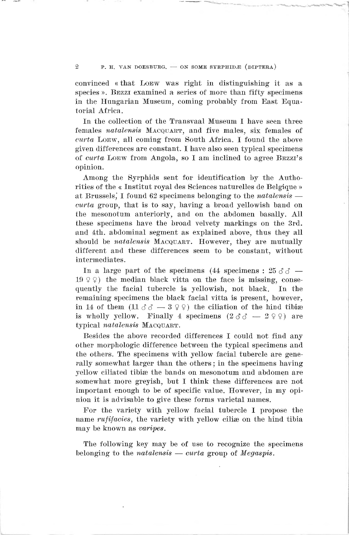### 2 P. H. VAN DOESBURG.  $-$  ON SOME SYRPHIDE (DIPTERA)

convinced « that Loew was right in distinguishing it as a species ». Bezzi examined a series of more than fifty specimens in the Hungarian Museum, coming probably from East Equatorial Africa.

In the collection of the Transvaal Museum I have seen three females natalensis MACQUART, and five males, six females of curta Loew, ail coming from South Africa. I found the above given différences are constant. I have also seen typical specimens of curta Loew from Angola, so I am inclined to agree Bezzi's opinion.

Among the Syrphids sent for identification by the Authorities of the « Institut royal des Sciences naturelles de Belgique » at Brussels, I found 62 specimens belonging to the *natalensis* curta group, that is to say, having <sup>a</sup> broad yellowish band on the mesonotum anteriorly, and on the abdomen basally. All these specimens have the broad velvety markings on the 3rd. and 4th. abdominal segment as explained above, thus they all should be *natalensis* MACQUART. However, they are mutually different and these différences seem to be constant, without intermediates.

In a large part of the specimens (44 specimens :  $25 \delta \delta$  — 19  $9$  9) the median black vitta on the face is missing, consequently the facial tubercle is yellowish, not black. In the quently the facial tubercle is yellowish, not black. remaining specimens the black facial vitta is present, however, in 14 of them  $(11 \text{ }\partial\ \partial - 3 \text{ }\mathcal{Q})$  the ciliation of the hind tibixe is wholly yellow. Finally 4 specimens  $(2 \delta \delta - 2 \delta \gamma)$  are typical natalensis MACQUART.

Besides the above recorded differences I could not find any other morphologic difference between the typical specimens and the others. The specimens with yellow facial tubercle are generally somewhat larger than the others ; in the specimens having yellow ciliated tibiæ the bands on mesonotum and abdomen are somewhat more greyish, but I think these différences are not important enough to be of specific value. However, in my opinion it is advisable to give these forms varietal names.

For the variety with yellow facial tubercle I propose the name *rufifacies*, the variety with yellow cilise on the hind tibia may be known as varipes.

The following key may be of use to recognize the specimens belonging to the natalensis — curta group of Megaspis.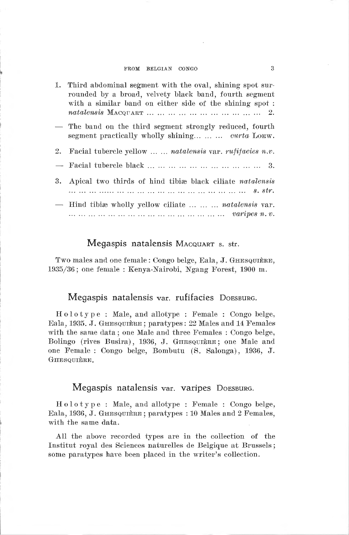#### from belgian congo <sup>3</sup>

| 1. Third abdominal segment with the oval, shining spot sur-<br>rounded by a broad, velvety black band, fourth segment<br>with a similar band on either side of the shining spot: |
|----------------------------------------------------------------------------------------------------------------------------------------------------------------------------------|
| — The band on the third segment strongly reduced, fourth<br>segment practically wholly shining   curta LOEW.                                                                     |
| 2. Facial tubercle yellow   natalensis var. rufifacies n.v.                                                                                                                      |
|                                                                                                                                                                                  |
| 3. Apical two thirds of hind tibiæ black ciliate natalensis                                                                                                                      |
| — Hind tibiæ wholly yellow ciliate <i>natalensis</i> var.                                                                                                                        |

### Megaspis natalensis Macquart s. str.

Two males and one female : Congo belge, Eala, J. GHESQUIÈRE, 1935/36; one female : Kenya-Nairobi, Ngang Forest, 1900 m.

# Megaspis natalensis var. rufifacies Doesburg.

Holotype : Maie, and allotype : Female : Congo belge, Eala, 1935. J. Ghesquièee ; paratypes : 22 Maies and 14 Females with the same data; one Male and three Females : Congo belge, Bolingo (rives Busira), 1936, J. GHESQUIÈRE; one Male and one Female : Congo belge, Bombutu (S. Salonga), 1936, J. GHESQUIÈRE.

# Megaspis natalensis var. varipes Doesburg.

Holotype : Maie, and allotype : Female : Congo belge, Eala, 1936, J. Ghesquière ; paratypes : 10 Maies and 2 Females, with the same data.

All the above recorded types are in the collection of the Institut royal des Sciences naturelles de Belgique at Brussels ; some paratypes have been placed in the writer's collection.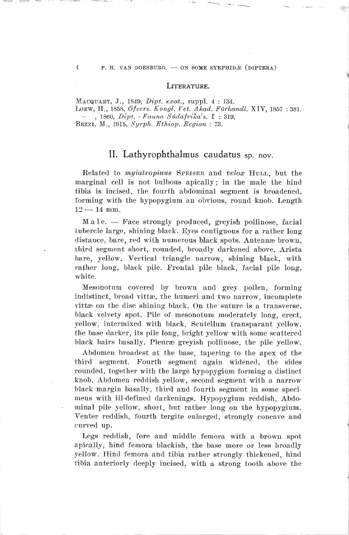#### $4$  P. H. VAN DOESBURG.  $-$  ON SOME SYRPHIDE (DIPTERA)

### LITERATURE.

Macquart, J,, 1849, Dipt. exot., suppl. <sup>4</sup> : 134. LOEW, H., 1858, Öfvers. Kongl. Vet. Akad. Förhandl. XIV, 1857 : 381. — , 1860, Dipt. - Fauna Südafrika's. I : 319. Bezzi, M., 1915, Syrph. Ethiop. Région : 73.

# II. Lathyrophthalmus caudatus sp. nov.

Related to *myiatropinus* Speiser and *velox* Hull, but the marginal cell is not bulbous apically; in the male the hind tibia is incised, the fourth abdominal segment is broadened, forming with the hypopygium an obvions, round knob. Length  $12 - 14$  mm.

<sup>M</sup> aie. — Face strongly produced, greyish pollinose, facial tubercle large, shining black. Eyes contiguous for a rather longdistance, bare, red with numerous black spots. Antennas brown, third segment short, rounded, broadly darkened above. Arista bare, yellow. Vertical triangle narrow, shining black, with rather long, black pile. Frontal pile black, facial pile long, white.

Mesonotum covered by browu and grey pollen, forming indistinct, broad vittæ, the humeri and two narrow, incomplete vittæ on the disc shining black. On the suture is a transverse, black velvety spot. Pile of mesonotum moderately long, erect, yellow, intermixed with black. Scutellum transparant yellow, the base darker, its pile long, bright yellow with some scattered black hairs basally. Pleuræ greyish pollinose, the pile yellow.

Abdomen broadest at the base, tapering to the apex of the third segment. Fourth segment again widened, the sides rounded, together with the large hypopygium forming a distinct knob. Abdomen reddish yellow, second segment with <sup>a</sup> narrow black margin basally, third and fourth segment in some specimens with ill-defined darkenings. Hypopygium reddish. Abdominal pile yellow, short, but rather long on the hypopygium. Venter reddish, fourth tergite enlarged, strongly concave and curved up.

Legs reddish, fore and middle femora with a brown spot apically, hind femora blackish, the base more or less broadly yellow. Hind femora and tibia rather strongly thickened, hind tibia anteriorly deeply incised, with a strong tooth above the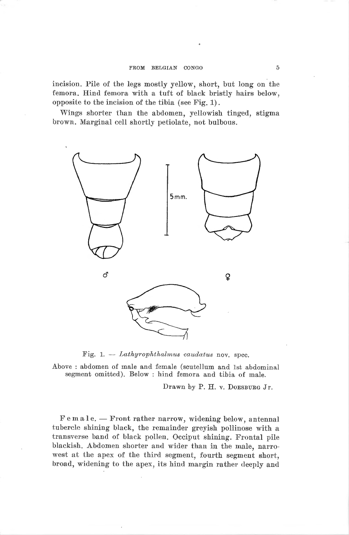incision. Pile of the legs mostly yellow, short, but long on the femora. Hind femora with a tuft of black bristly hairs below, opposite to the incision of the tibia (see Fig. 1).

Wings shorter than the abdomen, yellowish tinged, stigma brown. Marginal cell shortly petiolate, not bulbous.



Fig. 1.  $-$  Lathyrophthalmus caudatus nov. spec.

Above : abdomen of maie and female (scutellum and Ist abdominal segment omitted). Below : hind femora and tibia of male.

Drawn by P. H. v. DOESBURG Jr.

F <sup>e</sup> <sup>m</sup> aie. — Front rather narrow, widening below, antennal tubercle shining black, the remainder greyish pollinose with a transverse band of black pollen. Occiput shining. Frontal pile blackish. Abdomen shorter and wider than in the male, narrowest at the apex of the third segment, fourth segment short, broad, widening to the apex, its hind margin rather deeply and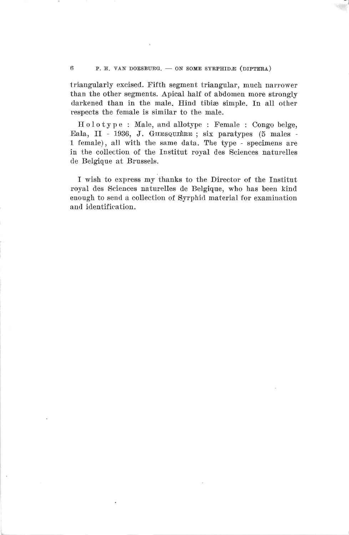#### 6 P. H. VAN DOESBURG.  $-$  ON SOME SYRPHIDE (DIPTERA)

triangularly excised. Fifth segment triangular, much narrower than the other segments. Apical half of abdomen more strongly darkened than in the male. Hind tibiae simple. In all other respects the female is similar to the male.

Holotype : Male, and allotype : Female : Congo belge, Eala, II - 1936, J. GHESQUIÈRE ; six paratypes (5 males -<sup>1</sup> female), ail with the same data. The type - specimens are in the collection of the Institut royal des Sciences naturelles de Belgique at Brussels.

I wish to express my thanks to the Director of the Institut royal des Sciences naturelles de Belgique, who has been kind enough to send a collection of Syrphid material for examination and identification.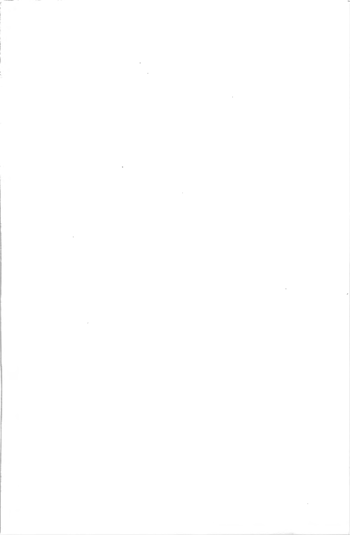